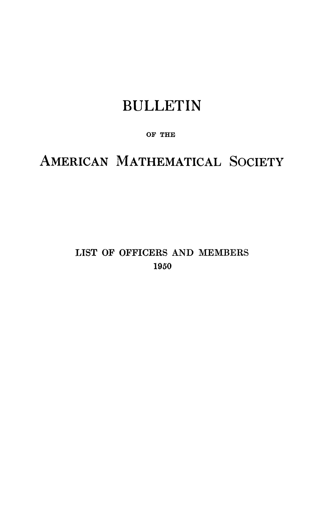## BULLETIN

### **OF THE**

# AMERICAN MATHEMATICAL SOCIETY

## **LIST OF OFFICERS AND MEMBERS I960**